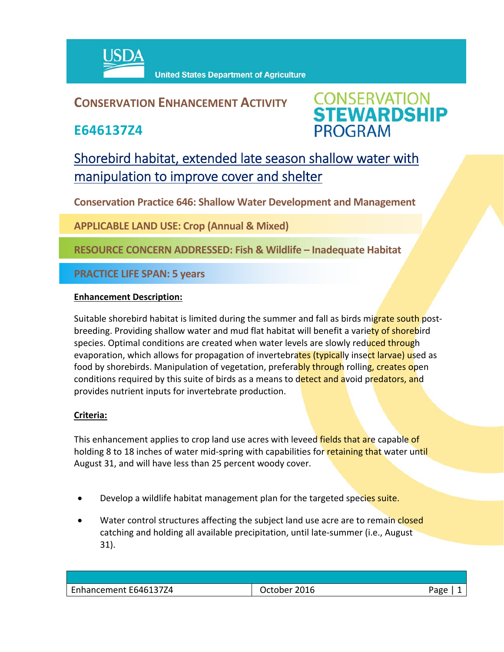

## **CONSERVATION ENHANCEMENT ACTIVITY**

**E646137Z4**



# Shorebird habitat, extended late season shallow water with manipulation to improve cover and shelter

**Conservation Practice 646: Shallow Water Development and Management**

**APPLICABLE LAND USE: Crop (Annual & Mixed)**

**RESOURCE CONCERN ADDRESSED: Fish & Wildlife – Inadequate Habitat**

**PRACTICE LIFE SPAN: 5 years**

### **Enhancement Description:**

Suitable shorebird habitat is limited during the summer and fall as birds migrate south postbreeding. Providing shallow water and mud flat habitat will benefit a variety of shorebird species. Optimal conditions are created when water levels are slowly reduced through evaporation, which allows for propagation of invertebrates (typically insect larvae) used as food by shorebirds. Manipulation of vegetation, preferably through rolling, creates open conditions required by this suite of birds as a means to detect and avoid predators, and provides nutrient inputs for invertebrate production.

### **Criteria:**

This enhancement applies to crop land use acres with leveed fields that are capable of holding 8 to 18 inches of water mid-spring with capabilities for retaining that water until August 31, and will have less than 25 percent woody cover.

- Develop a wildlife habitat management plan for the targeted species suite.
- Water control structures affecting the subject land use acre are to remain closed catching and holding all available precipitation, until late‐summer (i.e., August 31).

| Enhancement E646137Z4 | 2016<br>Jctober | ≙סבי |
|-----------------------|-----------------|------|
|                       |                 |      |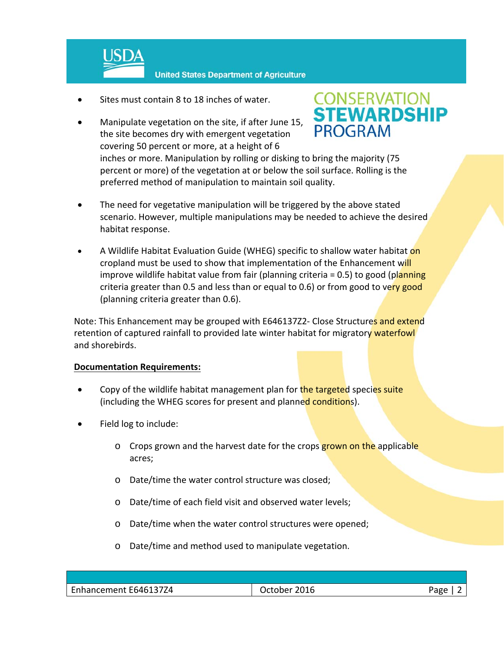

- Sites must contain 8 to 18 inches of water.
- Manipulate vegetation on the site, if after June 15, the site becomes dry with emergent vegetation covering 50 percent or more, at a height of 6



inches or more. Manipulation by rolling or disking to bring the majority (75 percent or more) of the vegetation at or below the soil surface. Rolling is the preferred method of manipulation to maintain soil quality.

- The need for vegetative manipulation will be triggered by the above stated scenario. However, multiple manipulations may be needed to achieve the desired habitat response.
- A Wildlife Habitat Evaluation Guide (WHEG) specific to shallow water habitat on cropland must be used to show that implementation of the Enhancement will improve wildlife habitat value from fair (planning criteria = 0.5) to good (planning criteria greater than 0.5 and less than or equal to 0.6) or from good to very good (planning criteria greater than 0.6).

Note: This Enhancement may be grouped with E646137Z2- Close Structures and extend retention of captured rainfall to provided late winter habitat for migratory waterfowl and shorebirds.

### **Documentation Requirements:**

- Copy of the wildlife habitat management plan for the targeted species suite (including the WHEG scores for present and planned conditions).
- Field log to include:
	- o Crops grown and the harvest date for the crops grown on the applicable acres;
	- o Date/time the water control structure was closed;
	- o Date/time of each field visit and observed water levels;
	- o Date/time when the water control structures were opened;
	- o Date/time and method used to manipulate vegetation.

| Enhancement E646137Z4 | 2016<br><b>Jctober</b> | Page |
|-----------------------|------------------------|------|